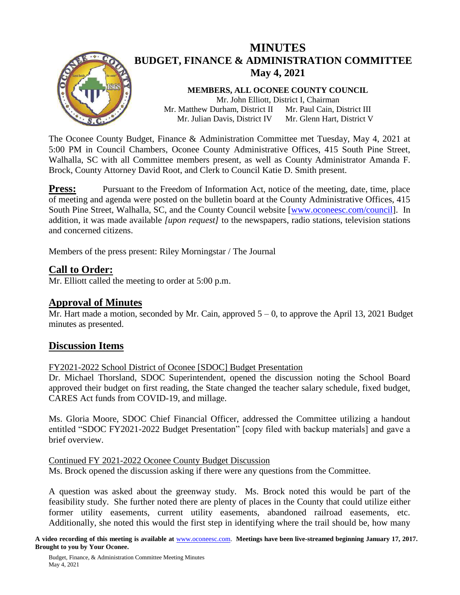

# **MINUTES BUDGET, FINANCE & ADMINISTRATION COMMITTEE May 4, 2021**

**MEMBERS, ALL OCONEE COUNTY COUNCIL** Mr. John Elliott, District I, Chairman Mr. Matthew Durham, District II Mr. Julian Davis, District IV Mr. Paul Cain, District III Mr. Glenn Hart, District V

The Oconee County Budget, Finance & Administration Committee met Tuesday, May 4, 2021 at 5:00 PM in Council Chambers, Oconee County Administrative Offices, 415 South Pine Street, Walhalla, SC with all Committee members present, as well as County Administrator Amanda F. Brock, County Attorney David Root, and Clerk to Council Katie D. Smith present.

**Press:** Pursuant to the Freedom of Information Act, notice of the meeting, date, time, place of meeting and agenda were posted on the bulletin board at the County Administrative Offices, 415 South Pine Street, Walhalla, SC, and the County Council website [\[www.oconeesc.com/council\]](http://www.oconeesc.com/council). In addition, it was made available *[upon request]* to the newspapers, radio stations, television stations and concerned citizens.

Members of the press present: Riley Morningstar / The Journal

# **Call to Order:**

Mr. Elliott called the meeting to order at 5:00 p.m.

### **Approval of Minutes**

Mr. Hart made a motion, seconded by Mr. Cain, approved  $5 - 0$ , to approve the April 13, 2021 Budget minutes as presented.

### **Discussion Items**

FY2021-2022 School District of Oconee [SDOC] Budget Presentation

Dr. Michael Thorsland, SDOC Superintendent, opened the discussion noting the School Board approved their budget on first reading, the State changed the teacher salary schedule, fixed budget, CARES Act funds from COVID-19, and millage.

Ms. Gloria Moore, SDOC Chief Financial Officer, addressed the Committee utilizing a handout entitled "SDOC FY2021-2022 Budget Presentation" [copy filed with backup materials] and gave a brief overview.

Continued FY 2021-2022 Oconee County Budget Discussion

Ms. Brock opened the discussion asking if there were any questions from the Committee.

A question was asked about the greenway study. Ms. Brock noted this would be part of the feasibility study. She further noted there are plenty of places in the County that could utilize either former utility easements, current utility easements, abandoned railroad easements, etc. Additionally, she noted this would the first step in identifying where the trail should be, how many

**A video recording of this meeting is available at** [www.oconeesc.com.](http://www.oconeesc.com/) **Meetings have been live-streamed beginning January 17, 2017. Brought to you by Your Oconee.**